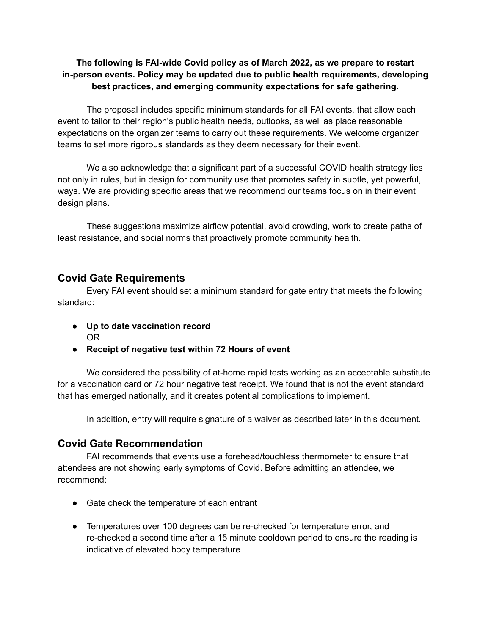#### **The following is FAI-wide Covid policy as of March 2022, as we prepare to restart in-person events. Policy may be updated due to public health requirements, developing best practices, and emerging community expectations for safe gathering.**

The proposal includes specific minimum standards for all FAI events, that allow each event to tailor to their region's public health needs, outlooks, as well as place reasonable expectations on the organizer teams to carry out these requirements. We welcome organizer teams to set more rigorous standards as they deem necessary for their event.

We also acknowledge that a significant part of a successful COVID health strategy lies not only in rules, but in design for community use that promotes safety in subtle, yet powerful, ways. We are providing specific areas that we recommend our teams focus on in their event design plans.

These suggestions maximize airflow potential, avoid crowding, work to create paths of least resistance, and social norms that proactively promote community health.

## **Covid Gate Requirements**

Every FAI event should set a minimum standard for gate entry that meets the following standard:

- **● Up to date vaccination record** OR
- **● Receipt of negative test within 72 Hours of event**

We considered the possibility of at-home rapid tests working as an acceptable substitute for a vaccination card or 72 hour negative test receipt. We found that is not the event standard that has emerged nationally, and it creates potential complications to implement.

In addition, entry will require signature of a waiver as described later in this document.

### **Covid Gate Recommendation**

FAI recommends that events use a forehead/touchless thermometer to ensure that attendees are not showing early symptoms of Covid. Before admitting an attendee, we recommend:

- Gate check the temperature of each entrant
- Temperatures over 100 degrees can be re-checked for temperature error, and re-checked a second time after a 15 minute cooldown period to ensure the reading is indicative of elevated body temperature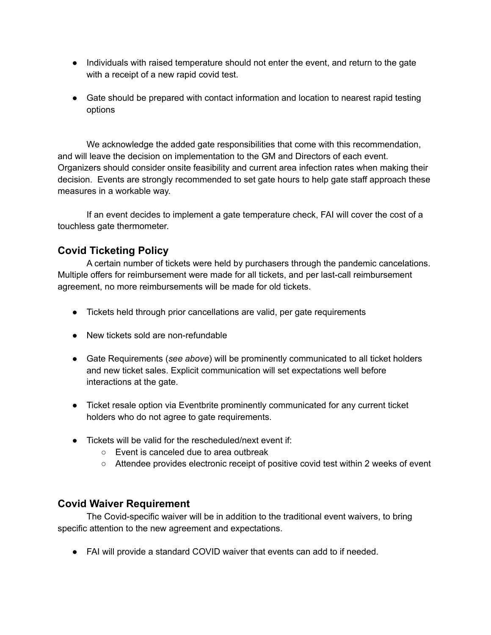- Individuals with raised temperature should not enter the event, and return to the gate with a receipt of a new rapid covid test.
- Gate should be prepared with contact information and location to nearest rapid testing options

We acknowledge the added gate responsibilities that come with this recommendation, and will leave the decision on implementation to the GM and Directors of each event. Organizers should consider onsite feasibility and current area infection rates when making their decision. Events are strongly recommended to set gate hours to help gate staff approach these measures in a workable way.

If an event decides to implement a gate temperature check, FAI will cover the cost of a touchless gate thermometer.

## **Covid Ticketing Policy**

A certain number of tickets were held by purchasers through the pandemic cancelations. Multiple offers for reimbursement were made for all tickets, and per last-call reimbursement agreement, no more reimbursements will be made for old tickets.

- Tickets held through prior cancellations are valid, per gate requirements
- New tickets sold are non-refundable
- Gate Requirements (*see above*) will be prominently communicated to all ticket holders and new ticket sales. Explicit communication will set expectations well before interactions at the gate.
- Ticket resale option via Eventbrite prominently communicated for any current ticket holders who do not agree to gate requirements.
- Tickets will be valid for the rescheduled/next event if:
	- Event is canceled due to area outbreak
	- Attendee provides electronic receipt of positive covid test within 2 weeks of event

### **Covid Waiver Requirement**

The Covid-specific waiver will be in addition to the traditional event waivers, to bring specific attention to the new agreement and expectations.

● FAI will provide a standard COVID waiver that events can add to if needed.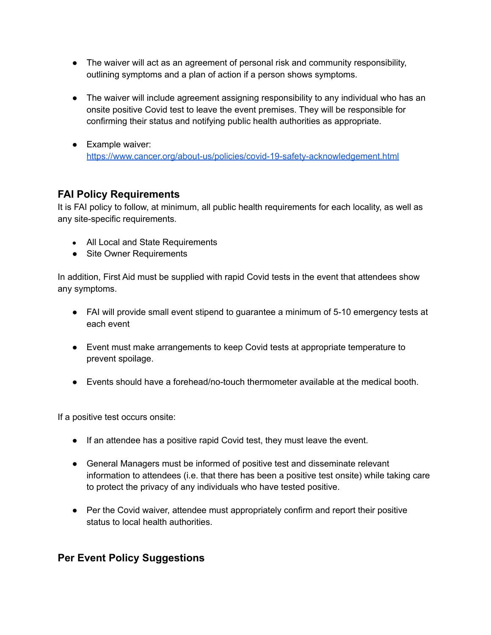- The waiver will act as an agreement of personal risk and community responsibility, outlining symptoms and a plan of action if a person shows symptoms.
- The waiver will include agreement assigning responsibility to any individual who has an onsite positive Covid test to leave the event premises. They will be responsible for confirming their status and notifying public health authorities as appropriate.
- Example waiver: <https://www.cancer.org/about-us/policies/covid-19-safety-acknowledgement.html>

# **FAI Policy Requirements**

It is FAI policy to follow, at minimum, all public health requirements for each locality, as well as any site-specific requirements.

- All Local and State Requirements
- Site Owner Requirements

In addition, First Aid must be supplied with rapid Covid tests in the event that attendees show any symptoms.

- FAI will provide small event stipend to guarantee a minimum of 5-10 emergency tests at each event
- Event must make arrangements to keep Covid tests at appropriate temperature to prevent spoilage.
- Events should have a forehead/no-touch thermometer available at the medical booth.

If a positive test occurs onsite:

- If an attendee has a positive rapid Covid test, they must leave the event.
- General Managers must be informed of positive test and disseminate relevant information to attendees (i.e. that there has been a positive test onsite) while taking care to protect the privacy of any individuals who have tested positive.
- Per the Covid waiver, attendee must appropriately confirm and report their positive status to local health authorities.

### **Per Event Policy Suggestions**